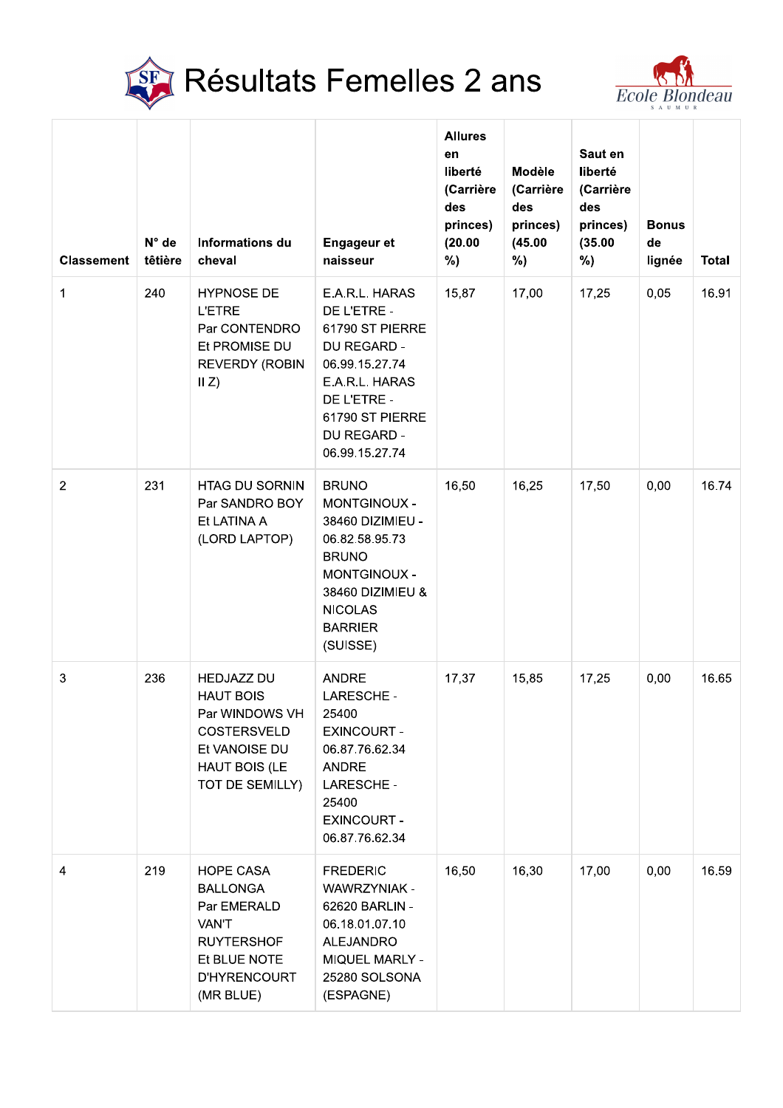



|                   | SF                        | <b>Résultats Femelles 2 ans</b>                                                                                                      |                                                                                                                                                                        |                                                                                  |                                                                |                                                                     |                                                       |              |
|-------------------|---------------------------|--------------------------------------------------------------------------------------------------------------------------------------|------------------------------------------------------------------------------------------------------------------------------------------------------------------------|----------------------------------------------------------------------------------|----------------------------------------------------------------|---------------------------------------------------------------------|-------------------------------------------------------|--------------|
| <b>Classement</b> | $N^{\circ}$ de<br>têtière | <b>Informations du</b><br>cheval                                                                                                     | <b>Engageur et</b><br>naisseur                                                                                                                                         | <b>Allures</b><br>en<br>liberté<br>(Carrière<br>des<br>princes)<br>(20.00)<br>%) | <b>Modèle</b><br>(Carrière<br>des<br>princes)<br>(45.00)<br>%) | Saut en<br>liberté<br>(Carrière<br>des<br>princes)<br>(35.00)<br>%) | <b>Ecole Blondeau</b><br><b>Bonus</b><br>de<br>lignée | <b>Total</b> |
| 1                 | 240                       | <b>HYPNOSE DE</b><br><b>L'ETRE</b><br>Par CONTENDRO<br>Et PROMISE DU<br><b>REVERDY (ROBIN</b><br>II Z)                               | E.A.R.L. HARAS<br>DE L'ETRE -<br>61790 ST PIERRE<br>DU REGARD -<br>06.99.15.27.74<br>E.A.R.L. HARAS<br>DE L'ETRE -<br>61790 ST PIERRE<br>DU REGARD -<br>06.99.15.27.74 | 15,87                                                                            | 17,00                                                          | 17,25                                                               | 0,05                                                  | 16.91        |
| $\overline{2}$    | 231                       | <b>HTAG DU SORNIN</b><br>Par SANDRO BOY<br>Et LATINA A<br>(LORD LAPTOP)                                                              | <b>BRUNO</b><br>MONTGINOUX -<br>38460 DIZIMIEU -<br>06.82.58.95.73<br><b>BRUNO</b><br>MONTGINOUX -<br>38460 DIZIMIEU &<br><b>NICOLAS</b><br><b>BARRIER</b><br>(SUISSE) | 16,50                                                                            | 16,25                                                          | 17,50                                                               | 0,00                                                  | 16.74        |
| $\mathbf{3}$      | 236                       | <b>HEDJAZZ DU</b><br><b>HAUT BOIS</b><br>Par WINDOWS VH<br><b>COSTERSVELD</b><br>Et VANOISE DU<br>HAUT BOIS (LE<br>TOT DE SEMILLY)   | <b>ANDRE</b><br>LARESCHE -<br>25400<br><b>EXINCOURT -</b><br>06.87.76.62.34<br><b>ANDRE</b><br><b>LARESCHE -</b><br>25400<br><b>EXINCOURT -</b><br>06.87.76.62.34      | 17,37                                                                            | 15,85                                                          | 17,25                                                               | 0,00                                                  | 16.65        |
| 4                 | 219                       | <b>HOPE CASA</b><br><b>BALLONGA</b><br>Par EMERALD<br>VAN'T<br><b>RUYTERSHOF</b><br>Et BLUE NOTE<br><b>D'HYRENCOURT</b><br>(MR BLUE) | <b>FREDERIC</b><br>WAWRZYNIAK -<br>62620 BARLIN -<br>06.18.01.07.10<br><b>ALEJANDRO</b><br>MIQUEL MARLY -<br>25280 SOLSONA<br>(ESPAGNE)                                | 16,50                                                                            | 16,30                                                          | 17,00                                                               | 0,00                                                  | 16.59        |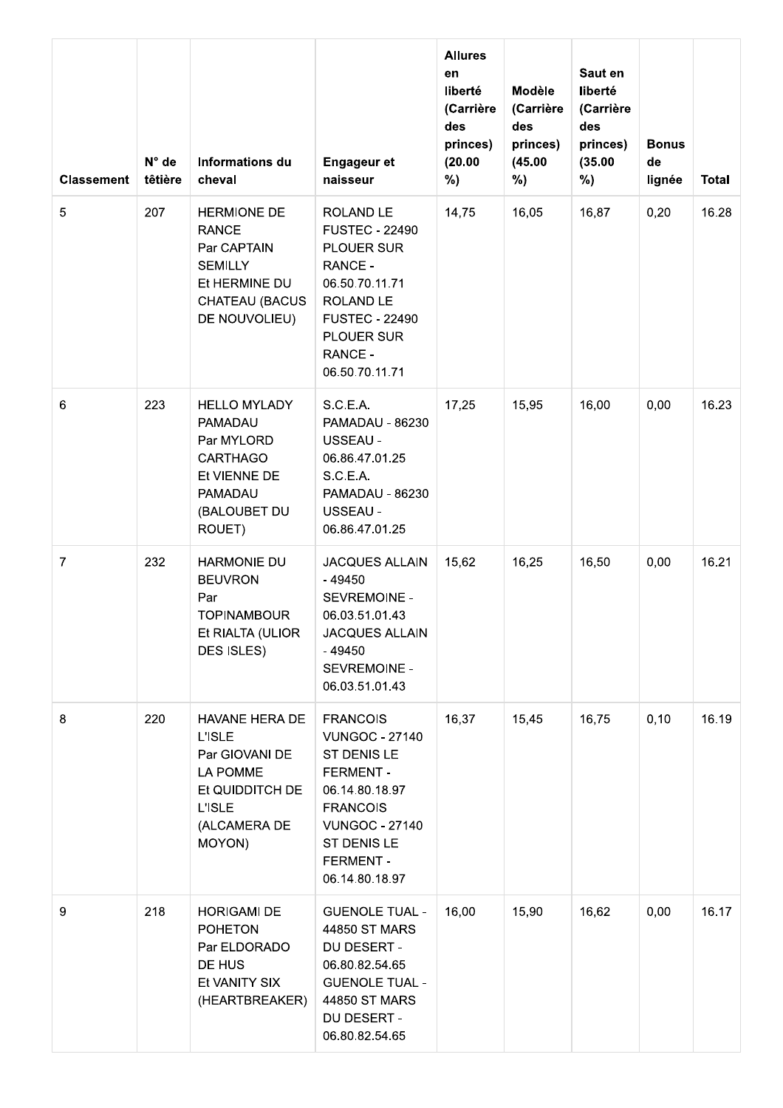| <b>Classement</b> | $N^{\circ}$ de<br>têtière | Informations du<br>cheval                                                                                                   | <b>Engageur et</b><br>naisseur                                                                                                                                                                | <b>Allures</b><br>en<br>liberté<br>(Carrière<br>des<br>princes)<br>(20.00)<br>%) | Modèle<br>(Carrière<br>des<br>princes)<br>(45.00)<br>%) | Saut en<br>liberté<br>(Carrière<br>des<br>princes)<br>(35.00)<br>%) | <b>Bonus</b><br>de<br>lignée | Total |
|-------------------|---------------------------|-----------------------------------------------------------------------------------------------------------------------------|-----------------------------------------------------------------------------------------------------------------------------------------------------------------------------------------------|----------------------------------------------------------------------------------|---------------------------------------------------------|---------------------------------------------------------------------|------------------------------|-------|
| 5                 | 207                       | <b>HERMIONE DE</b><br><b>RANCE</b><br>Par CAPTAIN<br><b>SEMILLY</b><br>Et HERMINE DU<br>CHATEAU (BACUS<br>DE NOUVOLIEU)     | ROLAND LE<br><b>FUSTEC - 22490</b><br>PLOUER SUR<br>RANCE -<br>06.50.70.11.71<br>ROLAND LE<br><b>FUSTEC - 22490</b><br>PLOUER SUR<br>RANCE -<br>06.50.70.11.71                                | 14,75                                                                            | 16,05                                                   | 16,87                                                               | 0,20                         | 16.28 |
| 6                 | 223                       | <b>HELLO MYLADY</b><br>PAMADAU<br>Par MYLORD<br><b>CARTHAGO</b><br>Et VIENNE DE<br>PAMADAU<br>(BALOUBET DU<br>ROUET)        | S.C.E.A.<br>PAMADAU - 86230<br>USSEAU -<br>06.86.47.01.25<br>S.C.E.A.<br>PAMADAU - 86230<br>USSEAU -<br>06.86.47.01.25                                                                        | 17,25                                                                            | 15,95                                                   | 16,00                                                               | 0,00                         | 16.23 |
| $\overline{7}$    | 232                       | <b>HARMONIE DU</b><br><b>BEUVRON</b><br>Par<br><b>TOPINAMBOUR</b><br>Et RIALTA (ULIOR<br>DES ISLES)                         | <b>JACQUES ALLAIN</b><br>- 49450<br>SEVREMOINE -<br>06.03.51.01.43<br><b>JACQUES ALLAIN</b><br>- 49450<br>SEVREMOINE -<br>06.03.51.01.43                                                      | 15,62                                                                            | 16,25                                                   | 16,50                                                               | 0,00                         | 16.21 |
| 8                 | 220                       | HAVANE HERA DE<br><b>L'ISLE</b><br>Par GIOVANI DE<br>LA POMME<br>Et QUIDDITCH DE<br><b>L'ISLE</b><br>(ALCAMERA DE<br>MOYON) | <b>FRANCOIS</b><br><b>VUNGOC - 27140</b><br>ST DENIS LE<br><b>FERMENT-</b><br>06.14.80.18.97<br><b>FRANCOIS</b><br><b>VUNGOC - 27140</b><br>ST DENIS LE<br><b>FERMENT -</b><br>06.14.80.18.97 | 16,37                                                                            | 15,45                                                   | 16,75                                                               | 0, 10                        | 16.19 |
| 9                 | 218                       | <b>HORIGAMI DE</b><br><b>POHETON</b><br>Par ELDORADO<br>DE HUS<br>Et VANITY SIX<br>(HEARTBREAKER)                           | <b>GUENOLE TUAL -</b><br>44850 ST MARS<br>DU DESERT -<br>06.80.82.54.65<br><b>GUENOLE TUAL -</b><br>44850 ST MARS<br>DU DESERT -<br>06.80.82.54.65                                            | 16,00                                                                            | 15,90                                                   | 16,62                                                               | 0,00                         | 16.17 |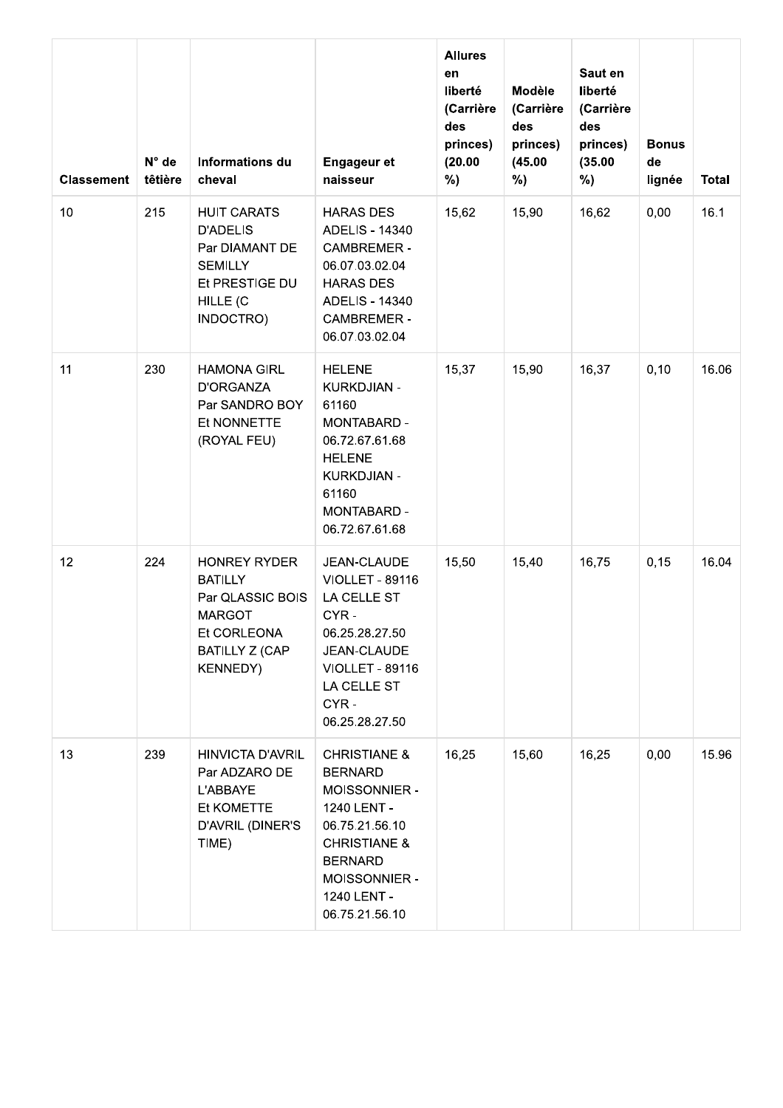| <b>Classement</b> | N° de<br>têtière | Informations du<br>cheval                                                                                                             | <b>Engageur et</b><br>naisseur                                                                                                                                                             | <b>Allures</b><br>en<br>liberté<br>(Carrière<br>des<br>princes)<br>(20.00)<br>%) | Modèle<br>(Carrière<br>des<br>princes)<br>(45.00)<br>%) | Saut en<br>liberté<br>(Carrière<br>des<br>princes)<br>(35.00)<br>%) | <b>Bonus</b><br>de<br>lignée | <b>Total</b> |
|-------------------|------------------|---------------------------------------------------------------------------------------------------------------------------------------|--------------------------------------------------------------------------------------------------------------------------------------------------------------------------------------------|----------------------------------------------------------------------------------|---------------------------------------------------------|---------------------------------------------------------------------|------------------------------|--------------|
| 10                | 215              | <b>HUIT CARATS</b><br><b>D'ADELIS</b><br>Par DIAMANT DE<br><b>SEMILLY</b><br>Et PRESTIGE DU<br>HILLE (C<br>INDOCTRO)                  | <b>HARAS DES</b><br>ADELIS - 14340<br><b>CAMBREMER -</b><br>06.07.03.02.04<br><b>HARAS DES</b><br>ADELIS - 14340<br><b>CAMBREMER -</b><br>06.07.03.02.04                                   | 15,62                                                                            | 15,90                                                   | 16,62                                                               | 0,00                         | 16.1         |
| 11                | 230              | <b>HAMONA GIRL</b><br><b>D'ORGANZA</b><br>Par SANDRO BOY<br>Et NONNETTE<br>(ROYAL FEU)                                                | <b>HELENE</b><br><b>KURKDJIAN -</b><br>61160<br>MONTABARD -<br>06.72.67.61.68<br><b>HELENE</b><br><b>KURKDJIAN -</b><br>61160<br>MONTABARD -<br>06.72.67.61.68                             | 15,37                                                                            | 15,90                                                   | 16,37                                                               | 0, 10                        | 16.06        |
| 12                | 224              | <b>HONREY RYDER</b><br><b>BATILLY</b><br>Par QLASSIC BOIS<br><b>MARGOT</b><br>Et CORLEONA<br><b>BATILLY Z (CAP</b><br><b>KENNEDY)</b> | JEAN-CLAUDE<br><b>VIOLLET - 89116</b><br>LA CELLE ST<br>CYR-<br>06.25.28.27.50<br>JEAN-CLAUDE<br><b>VIOLLET - 89116</b><br>LA CELLE ST<br>CYR-<br>06.25.28.27.50                           | 15,50                                                                            | 15,40                                                   | 16,75                                                               | 0, 15                        | 16.04        |
| 13                | 239              | <b>HINVICTA D'AVRIL</b><br>Par ADZARO DE<br>L'ABBAYE<br>Et KOMETTE<br>D'AVRIL (DINER'S<br>TIME)                                       | <b>CHRISTIANE &amp;</b><br><b>BERNARD</b><br>MOISSONNIER -<br>1240 LENT -<br>06.75.21.56.10<br><b>CHRISTIANE &amp;</b><br><b>BERNARD</b><br>MOISSONNIER -<br>1240 LENT -<br>06.75.21.56.10 | 16,25                                                                            | 15,60                                                   | 16,25                                                               | 0,00                         | 15.96        |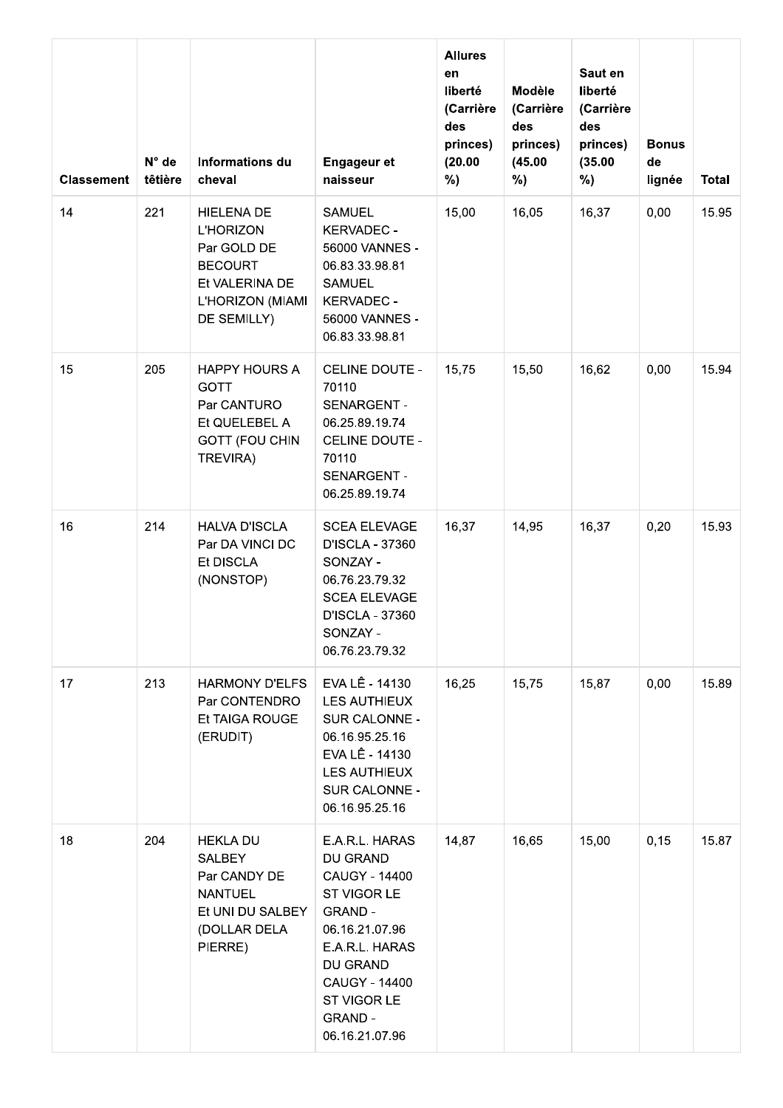| <b>Classement</b> | $N^{\circ}$ de<br>têtière | Informations du<br>cheval                                                                                                   | <b>Engageur et</b><br>naisseur                                                                                                                                                                   | <b>Allures</b><br>en<br>liberté<br>(Carrière<br>des<br>princes)<br>(20.00)<br>%) | Modèle<br>(Carrière<br>des<br>princes)<br>(45.00)<br>%) | Saut en<br>liberté<br>(Carrière<br>des<br>princes)<br>(35.00)<br>%) | <b>Bonus</b><br>de<br>lignée | Total |
|-------------------|---------------------------|-----------------------------------------------------------------------------------------------------------------------------|--------------------------------------------------------------------------------------------------------------------------------------------------------------------------------------------------|----------------------------------------------------------------------------------|---------------------------------------------------------|---------------------------------------------------------------------|------------------------------|-------|
| 14                | 221                       | <b>HIELENA DE</b><br><b>L'HORIZON</b><br>Par GOLD DE<br><b>BECOURT</b><br>Et VALERINA DE<br>L'HORIZON (MIAMI<br>DE SEMILLY) | <b>SAMUEL</b><br><b>KERVADEC -</b><br>56000 VANNES -<br>06.83.33.98.81<br><b>SAMUEL</b><br><b>KERVADEC -</b><br>56000 VANNES -<br>06.83.33.98.81                                                 | 15,00                                                                            | 16,05                                                   | 16,37                                                               | 0,00                         | 15.95 |
| 15                | 205                       | <b>HAPPY HOURS A</b><br><b>GOTT</b><br>Par CANTURO<br>Et QUELEBEL A<br><b>GOTT (FOU CHIN</b><br>TREVIRA)                    | CELINE DOUTE -<br>70110<br>SENARGENT -<br>06.25.89.19.74<br>CELINE DOUTE -<br>70110<br>SENARGENT -<br>06.25.89.19.74                                                                             | 15,75                                                                            | 15,50                                                   | 16,62                                                               | 0,00                         | 15.94 |
| 16                | 214                       | <b>HALVA D'ISCLA</b><br>Par DA VINCI DC<br>Et DISCLA<br>(NONSTOP)                                                           | <b>SCEA ELEVAGE</b><br>D'ISCLA - 37360<br>SONZAY -<br>06.76.23.79.32<br><b>SCEA ELEVAGE</b><br>D'ISCLA - 37360<br>SONZAY -<br>06.76.23.79.32                                                     | 16,37                                                                            | 14,95                                                   | 16,37                                                               | 0,20                         | 15.93 |
| 17                | 213                       | <b>HARMONY D'ELFS</b><br>Par CONTENDRO<br>Et TAIGA ROUGE<br>(ERUDIT)                                                        | EVA LÊ - 14130<br><b>LES AUTHIEUX</b><br>SUR CALONNE -<br>06.16.95.25.16<br>EVA LÊ - 14130<br>LES AUTHIEUX<br>SUR CALONNE -<br>06.16.95.25.16                                                    | 16,25                                                                            | 15,75                                                   | 15,87                                                               | 0,00                         | 15.89 |
| 18                | 204                       | <b>HEKLA DU</b><br><b>SALBEY</b><br>Par CANDY DE<br><b>NANTUEL</b><br>Et UNI DU SALBEY<br>(DOLLAR DELA<br>PIERRE)           | E.A.R.L. HARAS<br>DU GRAND<br>CAUGY - 14400<br>ST VIGOR LE<br><b>GRAND -</b><br>06.16.21.07.96<br>E.A.R.L. HARAS<br>DU GRAND<br>CAUGY - 14400<br>ST VIGOR LE<br><b>GRAND -</b><br>06.16.21.07.96 | 14,87                                                                            | 16,65                                                   | 15,00                                                               | 0, 15                        | 15.87 |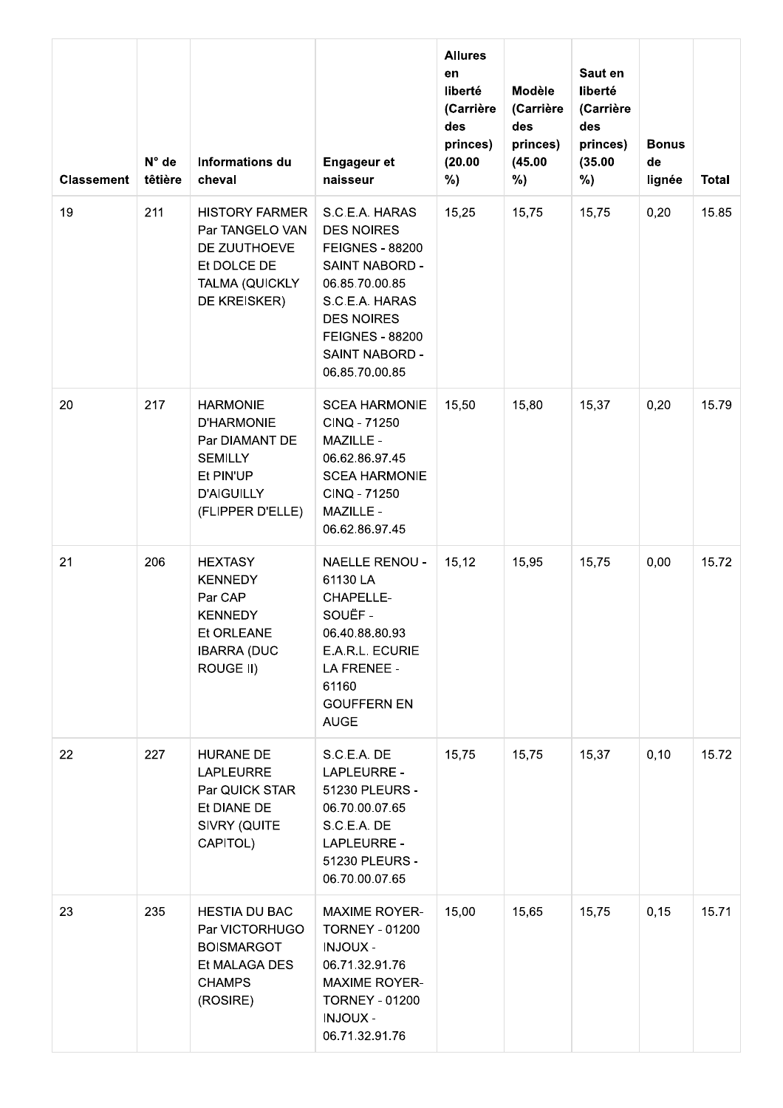| <b>Classement</b> | $N^{\circ}$ de<br>têtière | Informations du<br>cheval                                                                                                      | <b>Engageur et</b><br>naisseur                                                                                                                                                                         | <b>Allures</b><br>en<br>liberté<br>(Carrière<br>des<br>princes)<br>(20.00)<br>%) | Modèle<br>(Carrière<br>des<br>princes)<br>(45.00)<br>%) | Saut en<br>liberté<br>(Carrière<br>des<br>princes)<br>(35.00)<br>%) | <b>Bonus</b><br>de<br>lignée | Total |
|-------------------|---------------------------|--------------------------------------------------------------------------------------------------------------------------------|--------------------------------------------------------------------------------------------------------------------------------------------------------------------------------------------------------|----------------------------------------------------------------------------------|---------------------------------------------------------|---------------------------------------------------------------------|------------------------------|-------|
| 19                | 211                       | <b>HISTORY FARMER</b><br>Par TANGELO VAN<br>DE ZUUTHOEVE<br>Et DOLCE DE<br>TALMA (QUICKLY<br>DE KREISKER)                      | S.C.E.A. HARAS<br><b>DES NOIRES</b><br><b>FEIGNES - 88200</b><br>SAINT NABORD -<br>06.85.70.00.85<br>S.C.E.A. HARAS<br><b>DES NOIRES</b><br><b>FEIGNES - 88200</b><br>SAINT NABORD -<br>06.85.70.00.85 | 15,25                                                                            | 15,75                                                   | 15,75                                                               | 0,20                         | 15.85 |
| 20                | 217                       | <b>HARMONIE</b><br><b>D'HARMONIE</b><br>Par DIAMANT DE<br><b>SEMILLY</b><br>Et PIN'UP<br><b>D'AIGUILLY</b><br>(FLIPPER D'ELLE) | <b>SCEA HARMONIE</b><br>CINQ - 71250<br>MAZILLE -<br>06.62.86.97.45<br><b>SCEA HARMONIE</b><br>CINQ - 71250<br>MAZILLE -<br>06.62.86.97.45                                                             | 15,50                                                                            | 15,80                                                   | 15,37                                                               | 0,20                         | 15.79 |
| 21                | 206                       | <b>HEXTASY</b><br><b>KENNEDY</b><br>Par CAP<br><b>KENNEDY</b><br>Et ORLEANE<br><b>IBARRA (DUC</b><br>ROUGE II)                 | <b>NAELLE RENOU -</b><br>61130 LA<br>CHAPELLE-<br>SOUËF-<br>06.40.88.80.93<br>E.A.R.L. ECURIE<br>LA FRENEE -<br>61160<br><b>GOUFFERN EN</b><br><b>AUGE</b>                                             | 15, 12                                                                           | 15,95                                                   | 15,75                                                               | 0,00                         | 15.72 |
| 22                | 227                       | <b>HURANE DE</b><br><b>LAPLEURRE</b><br>Par QUICK STAR<br>Et DIANE DE<br>SIVRY (QUITE<br>CAPITOL)                              | S.C.E.A. DE<br>LAPLEURRE -<br>51230 PLEURS -<br>06.70.00.07.65<br>S.C.E.A. DE<br>LAPLEURRE -<br>51230 PLEURS -<br>06.70.00.07.65                                                                       | 15,75                                                                            | 15,75                                                   | 15,37                                                               | 0, 10                        | 15.72 |
| 23                | 235                       | <b>HESTIA DU BAC</b><br>Par VICTORHUGO<br><b>BOISMARGOT</b><br>Et MALAGA DES<br><b>CHAMPS</b><br>(ROSIRE)                      | <b>MAXIME ROYER-</b><br><b>TORNEY - 01200</b><br><b>INJOUX -</b><br>06.71.32.91.76<br><b>MAXIME ROYER-</b><br><b>TORNEY - 01200</b><br><b>INJOUX -</b><br>06.71.32.91.76                               | 15,00                                                                            | 15,65                                                   | 15,75                                                               | 0, 15                        | 15.71 |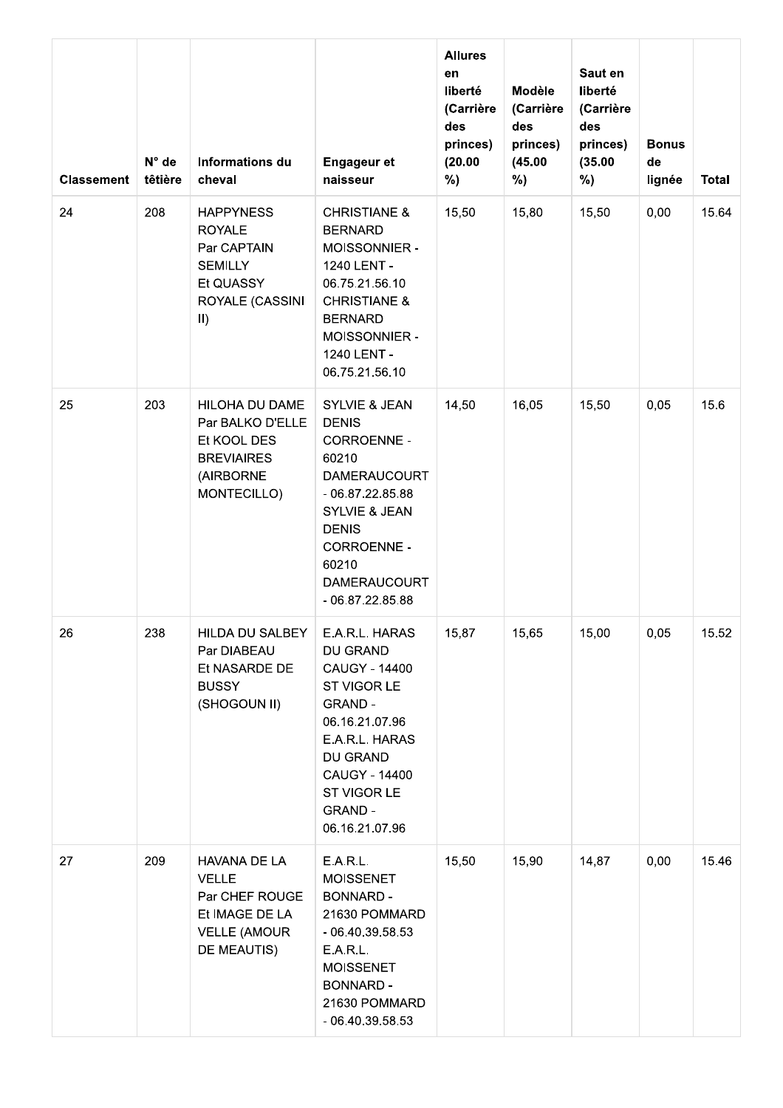| <b>Classement</b> | $N^{\circ}$ de<br>têtière | Informations du<br>cheval                                                                                         | <b>Engageur et</b><br>naisseur                                                                                                                                                                                                      | <b>Allures</b><br>en<br>liberté<br>(Carrière<br>des<br>princes)<br>(20.00)<br>%) | Modèle<br>(Carrière<br>des<br>princes)<br>(45.00)<br>%) | Saut en<br>liberté<br>(Carrière<br>des<br>princes)<br>(35.00)<br>%) | <b>Bonus</b><br>de<br>lignée | <b>Total</b> |
|-------------------|---------------------------|-------------------------------------------------------------------------------------------------------------------|-------------------------------------------------------------------------------------------------------------------------------------------------------------------------------------------------------------------------------------|----------------------------------------------------------------------------------|---------------------------------------------------------|---------------------------------------------------------------------|------------------------------|--------------|
| 24                | 208                       | <b>HAPPYNESS</b><br><b>ROYALE</b><br>Par CAPTAIN<br><b>SEMILLY</b><br>Et QUASSY<br>ROYALE (CASSINI<br>$\vert$ II) | <b>CHRISTIANE &amp;</b><br><b>BERNARD</b><br>MOISSONNIER -<br>1240 LENT -<br>06.75.21.56.10<br><b>CHRISTIANE &amp;</b><br><b>BERNARD</b><br>MOISSONNIER -<br>1240 LENT -<br>06.75.21.56.10                                          | 15,50                                                                            | 15,80                                                   | 15,50                                                               | 0,00                         | 15.64        |
| 25                | 203                       | HILOHA DU DAME<br>Par BALKO D'ELLE<br>Et KOOL DES<br><b>BREVIAIRES</b><br>(AIRBORNE<br>MONTECILLO)                | <b>SYLVIE &amp; JEAN</b><br><b>DENIS</b><br><b>CORROENNE -</b><br>60210<br><b>DAMERAUCOURT</b><br>$-06.87.22.85.88$<br><b>SYLVIE &amp; JEAN</b><br><b>DENIS</b><br>CORROENNE -<br>60210<br><b>DAMERAUCOURT</b><br>$-06.87.22.85.88$ | 14,50                                                                            | 16,05                                                   | 15,50                                                               | 0,05                         | 15.6         |
| 26                | 238                       | HILDA DU SALBEY<br>Par DIABEAU<br>Et NASARDE DE<br><b>BUSSY</b><br>(SHOGOUN II)                                   | E.A.R.L. HARAS<br>DU GRAND<br><b>CAUGY - 14400</b><br>ST VIGOR LE<br><b>GRAND -</b><br>06.16.21.07.96<br>E.A.R.L. HARAS<br>DU GRAND<br><b>CAUGY - 14400</b><br>ST VIGOR LE<br><b>GRAND -</b><br>06.16.21.07.96                      | 15,87                                                                            | 15,65                                                   | 15,00                                                               | 0,05                         | 15.52        |
| 27                | 209                       | HAVANA DE LA<br><b>VELLE</b><br>Par CHEF ROUGE<br>Et IMAGE DE LA<br><b>VELLE (AMOUR</b><br>DE MEAUTIS)            | E.A.R.L.<br><b>MOISSENET</b><br><b>BONNARD -</b><br>21630 POMMARD<br>$-06.40.39.58.53$<br>E.A.R.L.<br><b>MOISSENET</b><br><b>BONNARD -</b><br>21630 POMMARD<br>$-06.40.39.58.53$                                                    | 15,50                                                                            | 15,90                                                   | 14,87                                                               | 0,00                         | 15.46        |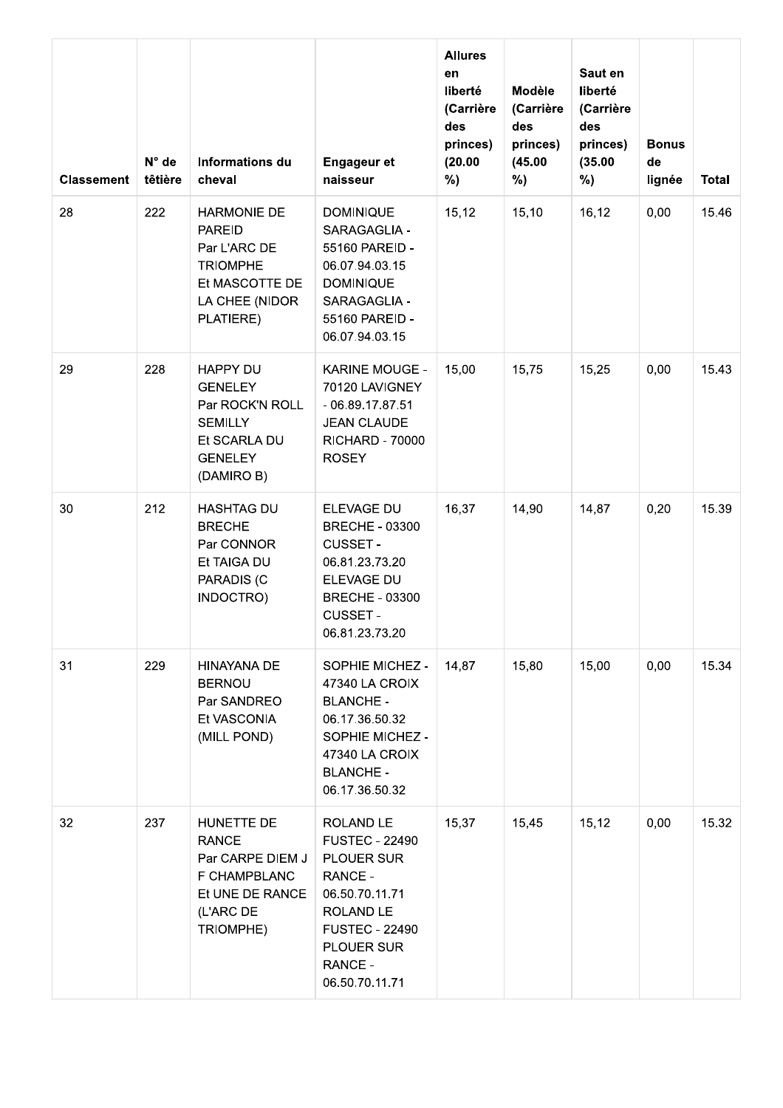| <b>Classement</b> | $N^{\circ}$ de<br>têtière | Informations du<br>cheval                                                                                               | <b>Engageur et</b><br>naisseur                                                                                                                                 | <b>Allures</b><br>en<br>liberté<br>(Carrière<br>des<br>princes)<br>(20.00)<br>%) | Modèle<br>(Carrière<br>des<br>princes)<br>(45.00)<br>%) | Saut en<br>liberté<br>(Carrière<br>des<br>princes)<br>(35.00)<br>%) | <b>Bonus</b><br>de<br>lignée | <b>Total</b> |
|-------------------|---------------------------|-------------------------------------------------------------------------------------------------------------------------|----------------------------------------------------------------------------------------------------------------------------------------------------------------|----------------------------------------------------------------------------------|---------------------------------------------------------|---------------------------------------------------------------------|------------------------------|--------------|
| 28                | 222                       | <b>HARMONIE DE</b><br><b>PAREID</b><br>Par L'ARC DE<br><b>TRIOMPHE</b><br>Et MASCOTTE DE<br>LA CHEE (NIDOR<br>PLATIERE) | <b>DOMINIQUE</b><br>SARAGAGLIA -<br>55160 PAREID -<br>06.07.94.03.15<br><b>DOMINIQUE</b><br>SARAGAGLIA -<br>55160 PAREID -<br>06.07.94.03.15                   | 15,12                                                                            | 15,10                                                   | 16,12                                                               | 0,00                         | 15.46        |
| 29                | 228                       | HAPPY DU<br><b>GENELEY</b><br>Par ROCK'N ROLL<br><b>SEMILLY</b><br>Et SCARLA DU<br><b>GENELEY</b><br>(DAMIRO B)         | <b>KARINE MOUGE -</b><br>70120 LAVIGNEY<br>$-06.89.17.87.51$<br><b>JEAN CLAUDE</b><br><b>RICHARD - 70000</b><br><b>ROSEY</b>                                   | 15,00                                                                            | 15,75                                                   | 15,25                                                               | 0,00                         | 15.43        |
| 30                | 212                       | <b>HASHTAG DU</b><br><b>BRECHE</b><br>Par CONNOR<br>Et TAIGA DU<br>PARADIS (C<br>INDOCTRO)                              | ELEVAGE DU<br><b>BRECHE - 03300</b><br><b>CUSSET -</b><br>06.81.23.73.20<br>ELEVAGE DU<br><b>BRECHE - 03300</b><br><b>CUSSET -</b><br>06.81.23.73.20           | 16,37                                                                            | 14,90                                                   | 14,87                                                               | 0,20                         | 15.39        |
| 31                | 229                       | HINAYANA DE<br><b>BERNOU</b><br>Par SANDREO<br>Et VASCONIA<br>(MILL POND)                                               | SOPHIE MICHEZ -<br>47340 LA CROIX<br><b>BLANCHE -</b><br>06.17.36.50.32<br>SOPHIE MICHEZ -<br>47340 LA CROIX<br><b>BLANCHE -</b><br>06.17.36.50.32             | 14,87                                                                            | 15,80                                                   | 15,00                                                               | 0,00                         | 15.34        |
| 32                | 237                       | HUNETTE DE<br><b>RANCE</b><br>Par CARPE DIEM J<br>F CHAMPBLANC<br>Et UNE DE RANCE<br>(L'ARC DE<br>TRIOMPHE)             | ROLAND LE<br><b>FUSTEC - 22490</b><br>PLOUER SUR<br>RANCE -<br>06.50.70.11.71<br>ROLAND LE<br><b>FUSTEC - 22490</b><br>PLOUER SUR<br>RANCE -<br>06.50.70.11.71 | 15,37                                                                            | 15,45                                                   | 15,12                                                               | 0,00                         | 15.32        |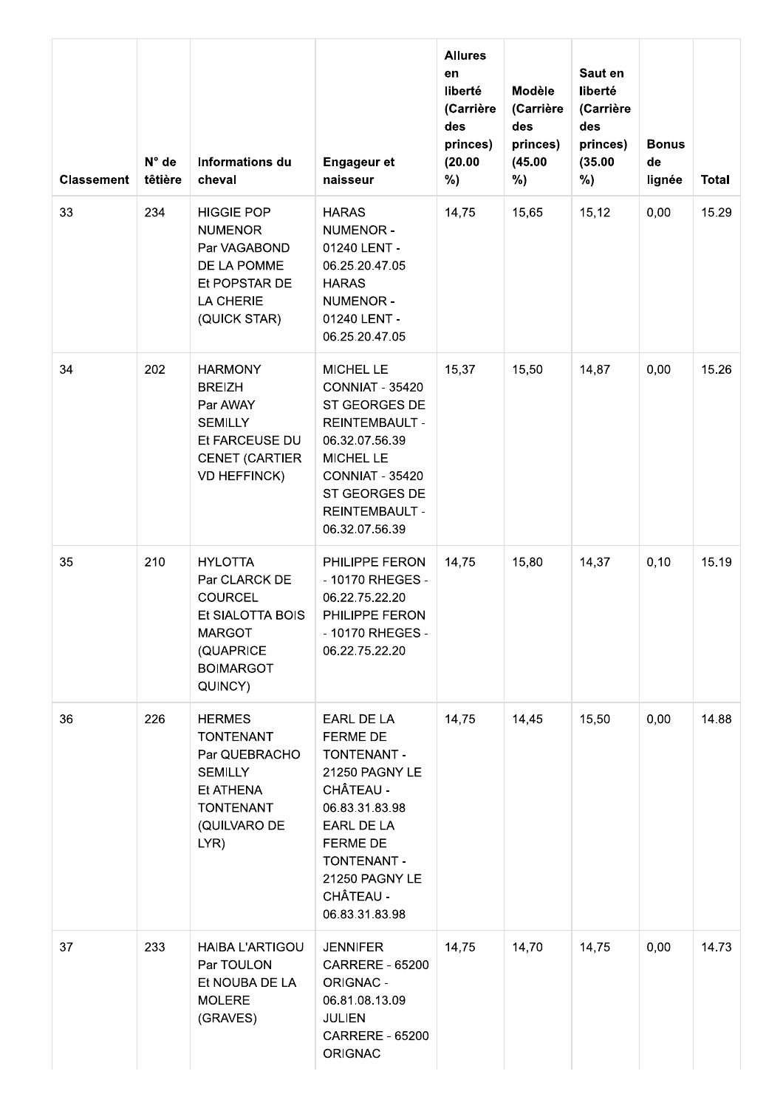| <b>Classement</b> | N° de<br>têtière | <b>Informations du</b><br>cheval                                                                                                   | <b>Engageur et</b><br>naisseur                                                                                                                                                                     | <b>Allures</b><br>en<br>liberté<br>(Carrière<br>des<br>princes)<br>(20.00)<br>%) | <b>Modèle</b><br>(Carrière<br>des<br>princes)<br>(45.00)<br>%) | Saut en<br>liberté<br>(Carrière<br>des<br>princes)<br>(35.00)<br>%) | <b>Bonus</b><br>de<br>lignée | <b>Total</b> |
|-------------------|------------------|------------------------------------------------------------------------------------------------------------------------------------|----------------------------------------------------------------------------------------------------------------------------------------------------------------------------------------------------|----------------------------------------------------------------------------------|----------------------------------------------------------------|---------------------------------------------------------------------|------------------------------|--------------|
| 33                | 234              | <b>HIGGIE POP</b><br><b>NUMENOR</b><br>Par VAGABOND<br>DE LA POMME<br>Et POPSTAR DE<br>LA CHERIE<br>(QUICK STAR)                   | <b>HARAS</b><br>NUMENOR -<br>01240 LENT -<br>06.25.20.47.05<br><b>HARAS</b><br>NUMENOR -<br>01240 LENT -<br>06.25.20.47.05                                                                         | 14,75                                                                            | 15,65                                                          | 15, 12                                                              | 0,00                         | 15.29        |
| 34                | 202              | <b>HARMONY</b><br><b>BREIZH</b><br>Par AWAY<br><b>SEMILLY</b><br>Et FARCEUSE DU<br><b>CENET (CARTIER</b><br><b>VD HEFFINCK)</b>    | MICHEL LE<br><b>CONNIAT - 35420</b><br>ST GEORGES DE<br><b>REINTEMBAULT -</b><br>06.32.07.56.39<br>MICHEL LE<br><b>CONNIAT - 35420</b><br>ST GEORGES DE<br><b>REINTEMBAULT -</b><br>06.32.07.56.39 | 15,37                                                                            | 15,50                                                          | 14,87                                                               | 0,00                         | 15.26        |
| 35                | 210              | <b>HYLOTTA</b><br>Par CLARCK DE<br><b>COURCEL</b><br>Et SIALOTTA BOIS<br><b>MARGOT</b><br>(QUAPRICE<br><b>BOIMARGOT</b><br>QUINCY) | PHILIPPE FERON<br>- 10170 RHEGES -<br>06.22.75.22.20<br>PHILIPPE FERON<br>- 10170 RHEGES -<br>06.22.75.22.20                                                                                       | 14,75                                                                            | 15,80                                                          | 14,37                                                               | 0, 10                        | 15.19        |
| 36                | 226              | <b>HERMES</b><br><b>TONTENANT</b><br>Par QUEBRACHO<br><b>SEMILLY</b><br>Et ATHENA<br><b>TONTENANT</b><br>(QUILVARO DE<br>LYR)      | EARL DE LA<br><b>FERME DE</b><br>TONTENANT -<br>21250 PAGNY LE<br>CHÂTEAU -<br>06.83.31.83.98<br>EARL DE LA<br><b>FERME DE</b><br>TONTENANT -<br>21250 PAGNY LE<br>CHÂTEAU -<br>06.83.31.83.98     | 14,75                                                                            | 14,45                                                          | 15,50                                                               | 0,00                         | 14.88        |
| 37                | 233              | <b>HAIBA L'ARTIGOU</b><br>Par TOULON<br>Et NOUBA DE LA<br><b>MOLERE</b><br>(GRAVES)                                                | <b>JENNIFER</b><br><b>CARRERE - 65200</b><br>ORIGNAC -<br>06.81.08.13.09<br><b>JULIEN</b><br><b>CARRERE - 65200</b><br><b>ORIGNAC</b>                                                              | 14,75                                                                            | 14,70                                                          | 14,75                                                               | 0,00                         | 14.73        |